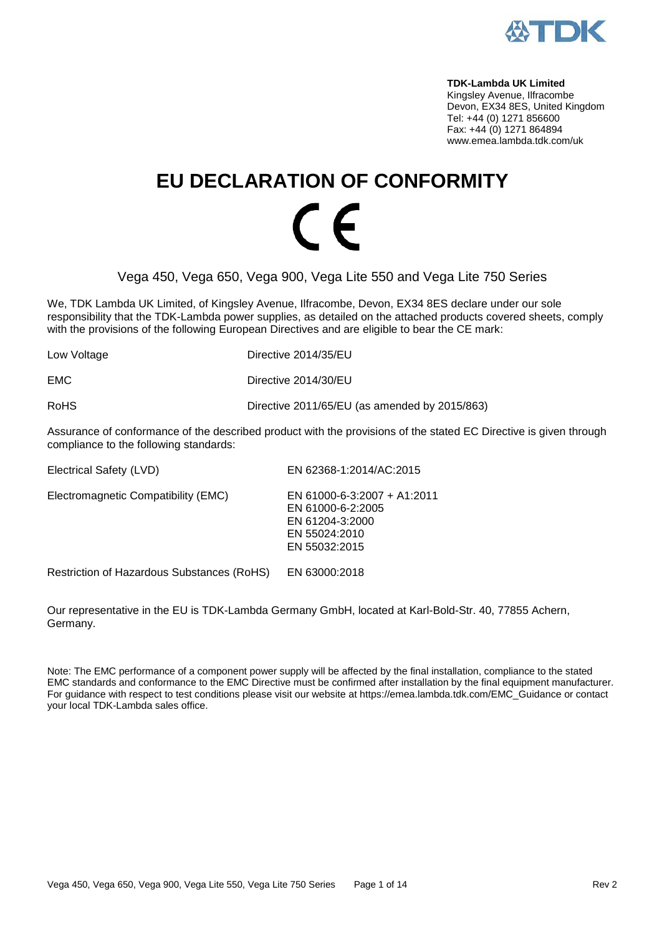

**TDK-Lambda UK Limited**  Kingsley Avenue, Ilfracombe Devon, EX34 8ES, United Kingdom Tel: +44 (0) 1271 856600 Fax: +44 (0) 1271 864894 www.emea.lambda.tdk.com/uk

# **EU DECLARATION OF CONFORMITY**  $\epsilon$

Vega 450, Vega 650, Vega 900, Vega Lite 550 and Vega Lite 750 Series

We, TDK Lambda UK Limited, of Kingsley Avenue, Ilfracombe, Devon, EX34 8ES declare under our sole responsibility that the TDK-Lambda power supplies, as detailed on the attached products covered sheets, comply with the provisions of the following European Directives and are eligible to bear the CE mark:

| Directive 2014/35/EU                          |
|-----------------------------------------------|
| Directive 2014/30/EU                          |
| Directive 2011/65/EU (as amended by 2015/863) |
|                                               |

Assurance of conformance of the described product with the provisions of the stated EC Directive is given through compliance to the following standards:

| Electrical Safety (LVD)             | EN 62368-1:2014/AC:2015                                                                               |
|-------------------------------------|-------------------------------------------------------------------------------------------------------|
| Electromagnetic Compatibility (EMC) | EN 61000-6-3:2007 + A1:2011<br>EN 61000-6-2:2005<br>EN 61204-3:2000<br>EN 55024:2010<br>EN 55032:2015 |
|                                     |                                                                                                       |

Restriction of Hazardous Substances (RoHS) EN 63000:2018

Our representative in the EU is TDK-Lambda Germany GmbH, located at Karl-Bold-Str. 40, 77855 Achern, Germany.

Note: The EMC performance of a component power supply will be affected by the final installation, compliance to the stated EMC standards and conformance to the EMC Directive must be confirmed after installation by the final equipment manufacturer. For guidance with respect to test conditions please visit our website at https://emea.lambda.tdk.com/EMC\_Guidance or contact your local TDK-Lambda sales office.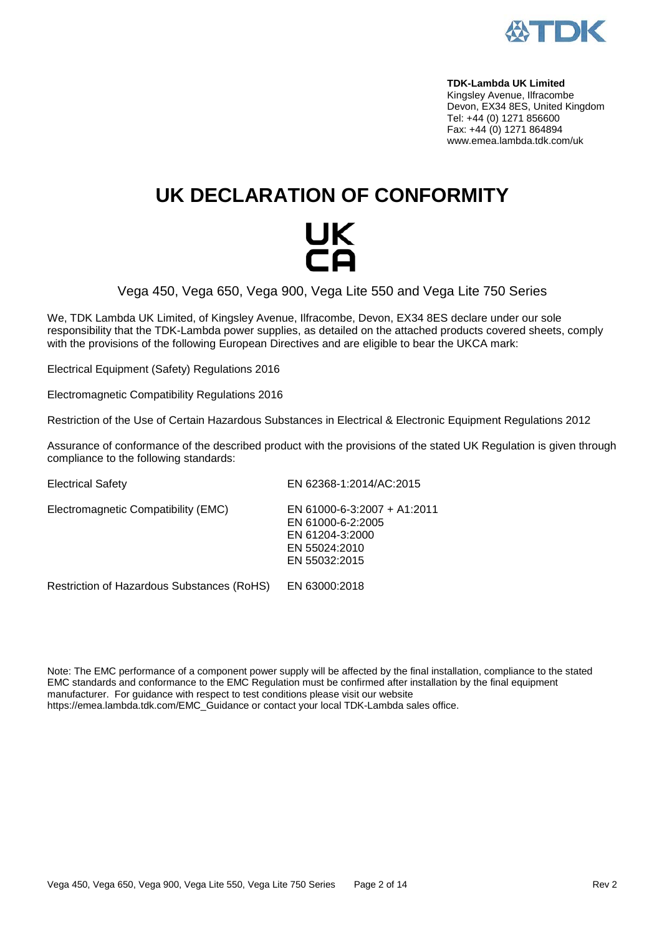

**TDK-Lambda UK Limited**  Kingsley Avenue, Ilfracombe Devon, EX34 8ES, United Kingdom Tel: +44 (0) 1271 856600 Fax: +44 (0) 1271 864894 www.emea.lambda.tdk.com/uk

## **UK DECLARATION OF CONFORMITY**

# UK<br>CO

Vega 450, Vega 650, Vega 900, Vega Lite 550 and Vega Lite 750 Series

We, TDK Lambda UK Limited, of Kingsley Avenue, Ilfracombe, Devon, EX34 8ES declare under our sole responsibility that the TDK-Lambda power supplies, as detailed on the attached products covered sheets, comply with the provisions of the following European Directives and are eligible to bear the UKCA mark:

Electrical Equipment (Safety) Regulations 2016

Electromagnetic Compatibility Regulations 2016

Restriction of the Use of Certain Hazardous Substances in Electrical & Electronic Equipment Regulations 2012

Assurance of conformance of the described product with the provisions of the stated UK Regulation is given through compliance to the following standards:

Electrical Safety EN 62368-1:2014/AC:2015 Electromagnetic Compatibility (EMC) EN 61000-6-3:2007 + A1:2011 EN 61000-6-2:2005 EN 61204-3:2000 EN 55024:2010 EN 55032:2015

Restriction of Hazardous Substances (RoHS) EN 63000:2018

Note: The EMC performance of a component power supply will be affected by the final installation, compliance to the stated EMC standards and conformance to the EMC Regulation must be confirmed after installation by the final equipment manufacturer. For guidance with respect to test conditions please visit our website [https://emea.lambda.tdk.com/EMC\\_Guidance](https://emea.lambda.tdk.com/EMC_Guidance) or contact your local TDK-Lambda sales office.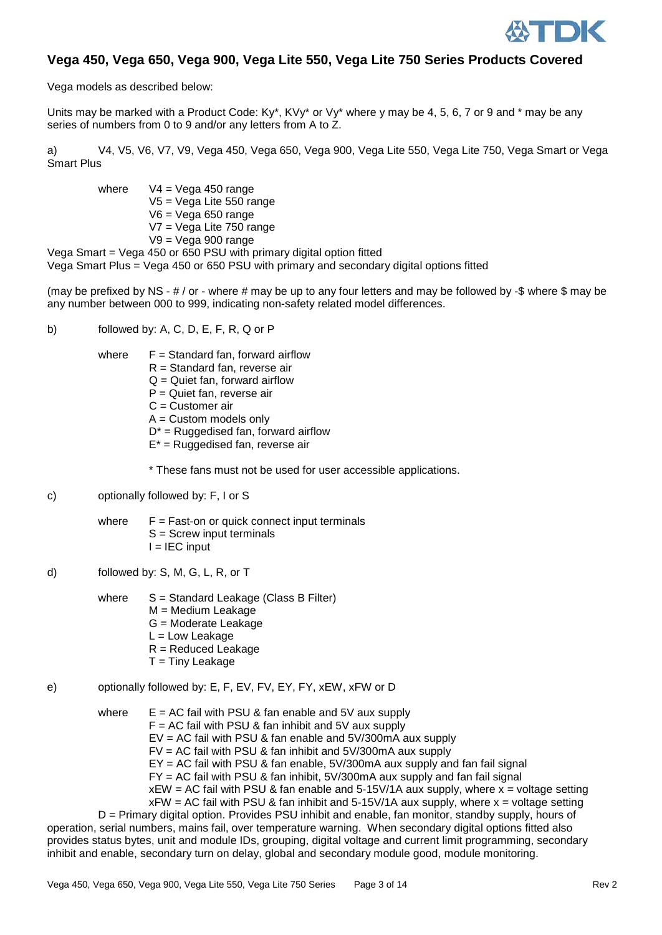

#### **Vega 450, Vega 650, Vega 900, Vega Lite 550, Vega Lite 750 Series Products Covered**

Vega models as described below:

Units may be marked with a Product Code:  $Ky^*$ ,  $KVy^*$  or  $Vy^*$  where y may be 4, 5, 6, 7 or 9 and  $*$  may be any series of numbers from 0 to 9 and/or any letters from A to Z.

a) V4, V5, V6, V7, V9, Vega 450, Vega 650, Vega 900, Vega Lite 550, Vega Lite 750, Vega Smart or Vega Smart Plus

where  $V4 = Vega 450 range$ V5 = Vega Lite 550 range V6 = Vega 650 range V7 = Vega Lite 750 range  $V9 = V$ ega 900 range

Vega Smart = Vega 450 or 650 PSU with primary digital option fitted Vega Smart Plus = Vega 450 or 650 PSU with primary and secondary digital options fitted

(may be prefixed by NS -  $\#$  / or - where  $\#$  may be up to any four letters and may be followed by -\$ where \$ may be any number between 000 to 999, indicating non-safety related model differences.

- b) followed by: A, C, D, E, F, R, Q or P
	- where  $F =$  Standard fan, forward airflow
		- R = Standard fan, reverse air
		- $Q =$  Quiet fan, forward airflow
		- P = Quiet fan, reverse air
		- C = Customer air
		- $A =$  Custom models only
		- $D^*$  = Ruggedised fan, forward airflow
		- E\* = Ruggedised fan, reverse air

\* These fans must not be used for user accessible applications.

c) optionally followed by: F, I or S

where  $F = Fast-on$  or quick connect input terminals S = Screw input terminals  $I = IEC$  input

d) followed by: S, M, G, L, R, or T

where  $S =$  Standard Leakage (Class B Filter) M = Medium Leakage G = Moderate Leakage L = Low Leakage R = Reduced Leakage  $T =$  Tiny Leakage

e) optionally followed by: E, F, EV, FV, EY, FY, xEW, xFW or D

where  $E = AC$  fail with PSU & fan enable and 5V aux supply  $F = AC$  fail with PSU & fan inhibit and 5V aux supply EV = AC fail with PSU & fan enable and 5V/300mA aux supply FV = AC fail with PSU & fan inhibit and 5V/300mA aux supply EY = AC fail with PSU & fan enable, 5V/300mA aux supply and fan fail signal FY = AC fail with PSU & fan inhibit, 5V/300mA aux supply and fan fail signal  $xEW = AC$  fail with PSU & fan enable and 5-15V/1A aux supply, where  $x =$  voltage setting  $xFW = AC$  fail with PSU & fan inhibit and 5-15V/1A aux supply, where  $x =$  voltage setting

D = Primary digital option. Provides PSU inhibit and enable, fan monitor, standby supply, hours of operation, serial numbers, mains fail, over temperature warning. When secondary digital options fitted also provides status bytes, unit and module IDs, grouping, digital voltage and current limit programming, secondary inhibit and enable, secondary turn on delay, global and secondary module good, module monitoring.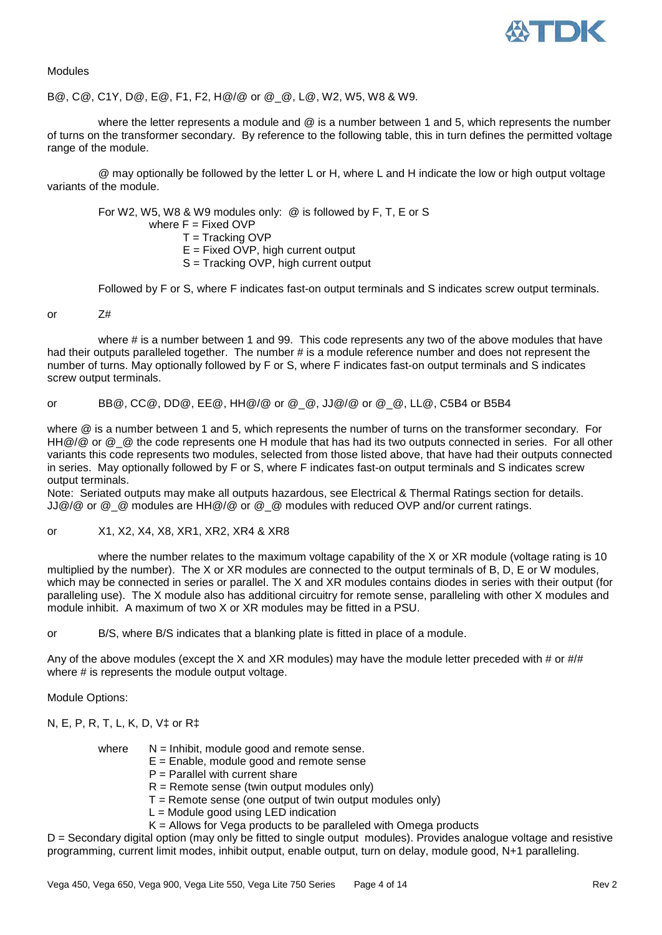

Modules

B@, C@, C1Y, D@, E@, F1, F2, H@/@ or @\_@, L@, W2, W5, W8 & W9.

where the letter represents a module and @ is a number between 1 and 5, which represents the number of turns on the transformer secondary. By reference to the following table, this in turn defines the permitted voltage range of the module.

@ may optionally be followed by the letter L or H, where L and H indicate the low or high output voltage variants of the module.

For W2, W5, W8 & W9 modules only: @ is followed by F, T, E or S where  $F =$  Fixed OVP T = Tracking OVP  $E =$  Fixed OVP, high current output S = Tracking OVP, high current output

Followed by F or S, where F indicates fast-on output terminals and S indicates screw output terminals.

or Z#

where # is a number between 1 and 99. This code represents any two of the above modules that have had their outputs paralleled together. The number # is a module reference number and does not represent the number of turns. May optionally followed by F or S, where F indicates fast-on output terminals and S indicates screw output terminals.

or BB@, CC@, DD@, EE@, HH@/@ or @\_@, JJ@/@ or @\_@, LL@, C5B4 or B5B4

where @ is a number between 1 and 5, which represents the number of turns on the transformer secondary. For HH@/@ or @\_@ the code represents one H module that has had its two outputs connected in series. For all other variants this code represents two modules, selected from those listed above, that have had their outputs connected in series. May optionally followed by F or S, where F indicates fast-on output terminals and S indicates screw output terminals.

Note: Seriated outputs may make all outputs hazardous, see Electrical & Thermal Ratings section for details.  $JJ@/@$  or  $@Q$  modules are HH $@/@$  or  $@Q$  modules with reduced OVP and/or current ratings.

or X1, X2, X4, X8, XR1, XR2, XR4 & XR8

where the number relates to the maximum voltage capability of the X or XR module (voltage rating is 10 multiplied by the number). The X or XR modules are connected to the output terminals of B, D, E or W modules, which may be connected in series or parallel. The X and XR modules contains diodes in series with their output (for paralleling use). The X module also has additional circuitry for remote sense, paralleling with other X modules and module inhibit. A maximum of two X or XR modules may be fitted in a PSU.

or B/S, where B/S indicates that a blanking plate is fitted in place of a module.

Any of the above modules (except the X and XR modules) may have the module letter preceded with # or  $\#/\#$ where # is represents the module output voltage.

Module Options:

N, E, P, R, T, L, K, D, V‡ or R‡

where  $N =$  Inhibit, module good and remote sense.

- $E =$  Enable, module good and remote sense
- $P =$  Parallel with current share
- $R =$  Remote sense (twin output modules only)
- $T =$  Remote sense (one output of twin output modules only)
- $L =$  Module good using LED indication
- $K =$  Allows for Vega products to be paralleled with Omega products

D = Secondary digital option (may only be fitted to single output modules). Provides analogue voltage and resistive programming, current limit modes, inhibit output, enable output, turn on delay, module good, N+1 paralleling.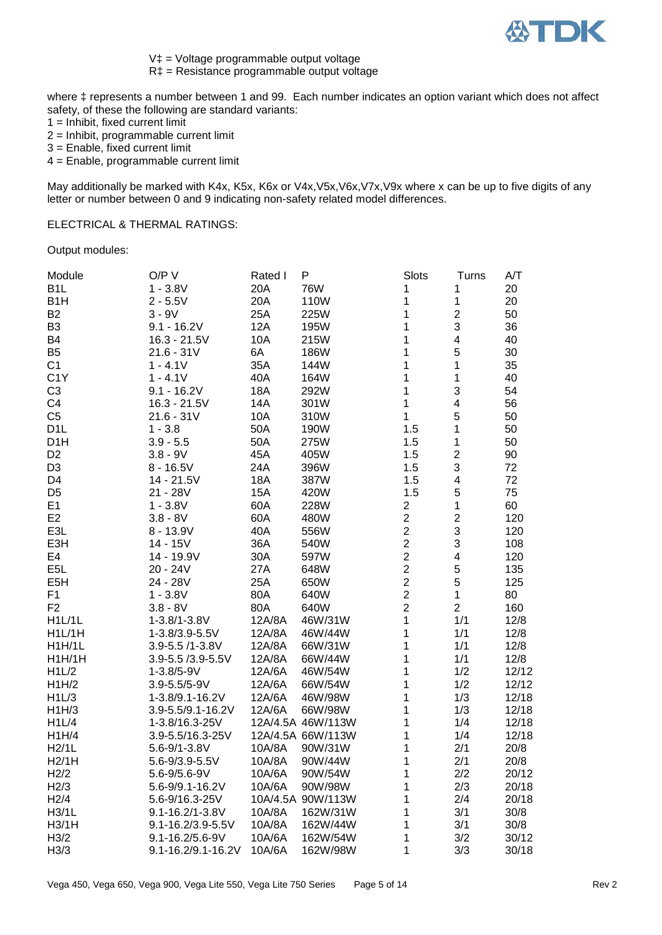

V‡ = Voltage programmable output voltage

R‡ = Resistance programmable output voltage

where  $\ddagger$  represents a number between 1 and 99. Each number indicates an option variant which does not affect safety, of these the following are standard variants:

 $1 =$  Inhibit, fixed current limit

2 = Inhibit, programmable current limit

3 = Enable, fixed current limit

4 = Enable, programmable current limit

May additionally be marked with K4x, K5x, K6x or V4x, V5x, V6x, V7x, V9x where x can be up to five digits of any letter or number between 0 and 9 indicating non-safety related model differences.

#### ELECTRICAL & THERMAL RATINGS:

Output modules:

| Module            | O/P V              | Rated I    | P                 | Slots                   | Turns          | A/T   |
|-------------------|--------------------|------------|-------------------|-------------------------|----------------|-------|
| B <sub>1</sub> L  | $1 - 3.8V$         | 20A        | <b>76W</b>        | 1                       | 1              | 20    |
| B <sub>1</sub> H  | $2 - 5.5V$         | 20A        | 110W              | 1                       | 1              | 20    |
| B <sub>2</sub>    | $3 - 9V$           | 25A        | 225W              | 1                       | $\mathbf{2}$   | 50    |
| B <sub>3</sub>    | $9.1 - 16.2V$      | <b>12A</b> | 195W              | 1                       | 3              | 36    |
| <b>B4</b>         | $16.3 - 21.5V$     | 10A        | 215W              | 1                       | 4              | 40    |
| B <sub>5</sub>    | $21.6 - 31V$       | 6A         | 186W              | 1                       | 5              | 30    |
| C <sub>1</sub>    | $1 - 4.1V$         | 35A        | 144W              | 1                       | 1              | 35    |
| C <sub>1</sub> Y  | $1 - 4.1V$         | 40A        | 164W              | 1                       | 1              | 40    |
| C <sub>3</sub>    | $9.1 - 16.2V$      | <b>18A</b> | 292W              | 1                       | 3              | 54    |
| C <sub>4</sub>    | $16.3 - 21.5V$     | 14A        | 301W              | 1                       | 4              | 56    |
| C <sub>5</sub>    | $21.6 - 31V$       | 10A        | 310W              | 1                       | 5              | 50    |
| D <sub>1</sub> L  | $1 - 3.8$          | 50A        | 190W              | 1.5                     | 1              | 50    |
| D <sub>1</sub> H  | $3.9 - 5.5$        | 50A        | 275W              | 1.5                     | 1              | 50    |
| D <sub>2</sub>    | $3.8 - 9V$         | 45A        | 405W              | 1.5                     | $\overline{c}$ | 90    |
| D <sub>3</sub>    | $8 - 16.5V$        | 24A        | 396W              | 1.5                     | 3              | 72    |
| D <sub>4</sub>    | 14 - 21.5V         | 18A        | 387W              | 1.5                     | 4              | 72    |
| D <sub>5</sub>    | $21 - 28V$         | 15A        | 420W              | 1.5                     | 5              | 75    |
| E1                | $1 - 3.8V$         | 60A        | 228W              | $\overline{\mathbf{c}}$ | $\mathbf 1$    | 60    |
| E <sub>2</sub>    | $3.8 - 8V$         | 60A        | 480W              | $\overline{2}$          | $\mathbf 2$    | 120   |
| E <sub>3</sub> L  | $8 - 13.9V$        | 40A        | 556W              | $\overline{2}$          | 3              | 120   |
| E3H               | $14 - 15V$         | 36A        | 540W              | $\overline{c}$          | 3              | 108   |
| E <sub>4</sub>    | 14 - 19.9V         | 30A        | 597W              | $\overline{\mathbf{c}}$ | 4              | 120   |
| E <sub>5</sub> L  | 20 - 24V           | 27A        | 648W              | $\overline{2}$          | 5              | 135   |
| E <sub>5</sub> H  | 24 - 28V           | 25A        | 650W              | $\overline{2}$          | 5              | 125   |
| F <sub>1</sub>    | $1 - 3.8V$         | 80A        | 640W              | $\overline{2}$          | $\mathbf{1}$   | 80    |
| F <sub>2</sub>    | $3.8 - 8V$         | 80A        | 640W              | $\overline{c}$          | $\overline{2}$ | 160   |
| H1L/1L            | $1 - 3.8/1 - 3.8V$ | 12A/8A     | 46W/31W           | 1                       | 1/1            | 12/8  |
| H1L/1H            | 1-3.8/3.9-5.5V     | 12A/8A     | 46W/44W           | 1                       | 1/1            | 12/8  |
| H1H/1L            | 3.9-5.5 /1-3.8V    | 12A/8A     | 66W/31W           | 1                       | 1/1            | 12/8  |
| H1H/1H            | 3.9-5.5 /3.9-5.5V  | 12A/8A     | 66W/44W           | 1                       | 1/1            | 12/8  |
| H1L/2             | $1 - 3.8/5 - 9V$   | 12A/6A     | 46W/54W           | 1                       | 1/2            | 12/12 |
| H1H/2             | 3.9-5.5/5-9V       | 12A/6A     | 66W/54W           | 1                       | 1/2            | 12/12 |
| H1L/3             | 1-3.8/9.1-16.2V    | 12A/6A     | 46W/98W           | 1                       | 1/3            | 12/18 |
| H1H/3             | 3.9-5.5/9.1-16.2V  | 12A/6A     | 66W/98W           | 1                       | 1/3            | 12/18 |
| H1L/4             | 1-3.8/16.3-25V     |            | 12A/4.5A 46W/113W | 1                       | 1/4            | 12/18 |
| H1H/4             | 3.9-5.5/16.3-25V   |            | 12A/4.5A 66W/113W | 1                       | 1/4            | 12/18 |
| H2/1L             | $5.6 - 9/1 - 3.8V$ | 10A/8A     | 90W/31W           | 1                       | 2/1            | 20/8  |
| H2/1H             | 5.6-9/3.9-5.5V     | 10A/8A     | 90W/44W           | 1                       | 2/1            | 20/8  |
| H <sub>2</sub> /2 | $5.6 - 9/5.6 - 9V$ | 10A/6A     | 90W/54W           | 1                       | 2/2            | 20/12 |
| H2/3              | 5.6-9/9.1-16.2V    | 10A/6A     | 90W/98W           | 1                       | 2/3            | 20/18 |
| H2/4              | 5.6-9/16.3-25V     |            | 10A/4.5A 90W/113W | 1                       | 2/4            | 20/18 |
| H3/1L             | 9.1-16.2/1-3.8V    | 10A/8A     | 162W/31W          | 1                       | 3/1            | 30/8  |
| H3/1H             | 9.1-16.2/3.9-5.5V  | 10A/8A     | 162W/44W          | 1                       | 3/1            | 30/8  |
| H <sub>3/2</sub>  | 9.1-16.2/5.6-9V    | 10A/6A     | 162W/54W          | 1                       | 3/2            | 30/12 |
| H <sub>3/3</sub>  | 9.1-16.2/9.1-16.2V | 10A/6A     | 162W/98W          | 1                       | 3/3            | 30/18 |
|                   |                    |            |                   |                         |                |       |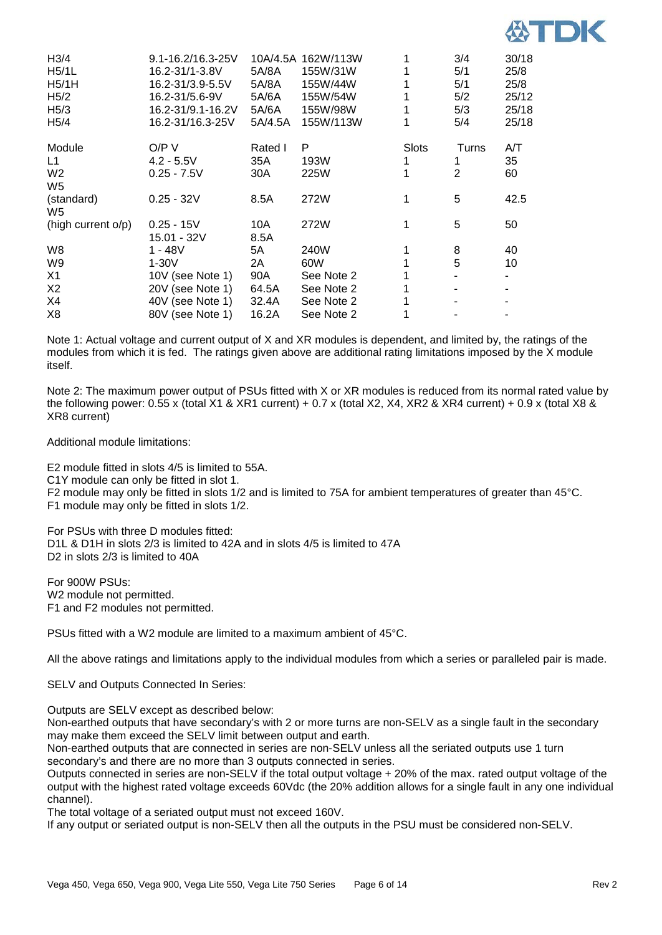

| H3/4               | 9.1-16.2/16.3-25V |         | 10A/4.5A 162W/113W |              | 3/4   | 30/18 |
|--------------------|-------------------|---------|--------------------|--------------|-------|-------|
| H5/1L              | 16.2-31/1-3.8V    | 5A/8A   | 155W/31W           |              | 5/1   | 25/8  |
| H5/1H              | 16.2-31/3.9-5.5V  | 5A/8A   | 155W/44W           |              | 5/1   | 25/8  |
| H <sub>5/2</sub>   | 16.2-31/5.6-9V    | 5A/6A   | 155W/54W           |              | 5/2   | 25/12 |
| H <sub>5/3</sub>   | 16.2-31/9.1-16.2V | 5A/6A   | 155W/98W           |              | 5/3   | 25/18 |
| H <sub>5</sub> /4  | 16.2-31/16.3-25V  | 5A/4.5A | 155W/113W          |              | 5/4   | 25/18 |
| Module             | O/P V             | Rated I | P                  | <b>Slots</b> | Turns | A/T   |
| L1                 | $4.2 - 5.5V$      | 35A     | 193W               |              | 1     | 35    |
| W <sub>2</sub>     | $0.25 - 7.5V$     | 30A     | 225W               |              | 2     | 60    |
| W <sub>5</sub>     |                   |         |                    |              |       |       |
| (standard)         | $0.25 - 32V$      | 8.5A    | 272W               | 1            | 5     | 42.5  |
| W5                 |                   |         |                    |              |       |       |
| (high current o/p) | $0.25 - 15V$      | 10A     | 272W               |              | 5     | 50    |
|                    | 15.01 - 32V       | 8.5A    |                    |              |       |       |
| W8                 | 1 - 48V           | 5A      | 240W               |              | 8     | 40    |
| W9                 | $1-30V$           | 2A      | 60W                |              | 5     | 10    |
| X1                 | 10V (see Note 1)  | 90A     | See Note 2         |              |       |       |
| X <sub>2</sub>     | 20V (see Note 1)  | 64.5A   | See Note 2         |              |       |       |
| X4                 | 40V (see Note 1)  | 32.4A   | See Note 2         |              |       |       |
| X <sub>8</sub>     | 80V (see Note 1)  | 16.2A   | See Note 2         |              |       |       |

Note 1: Actual voltage and current output of X and XR modules is dependent, and limited by, the ratings of the modules from which it is fed. The ratings given above are additional rating limitations imposed by the X module itself.

Note 2: The maximum power output of PSUs fitted with X or XR modules is reduced from its normal rated value by the following power: 0.55 x (total X1 & XR1 current) + 0.7 x (total X2, X4, XR2 & XR4 current) + 0.9 x (total X8 & XR8 current)

Additional module limitations:

E2 module fitted in slots 4/5 is limited to 55A.

C1Y module can only be fitted in slot 1.

F2 module may only be fitted in slots 1/2 and is limited to 75A for ambient temperatures of greater than 45°C. F1 module may only be fitted in slots 1/2.

For PSUs with three D modules fitted: D1L & D1H in slots 2/3 is limited to 42A and in slots 4/5 is limited to 47A D<sub>2</sub> in slots  $2/3$  is limited to 40A

For 900W PSUs: W2 module not permitted. F1 and F2 modules not permitted.

PSUs fitted with a W2 module are limited to a maximum ambient of 45°C.

All the above ratings and limitations apply to the individual modules from which a series or paralleled pair is made.

SELV and Outputs Connected In Series:

Outputs are SELV except as described below:

Non-earthed outputs that have secondary's with 2 or more turns are non-SELV as a single fault in the secondary may make them exceed the SELV limit between output and earth.

Non-earthed outputs that are connected in series are non-SELV unless all the seriated outputs use 1 turn secondary's and there are no more than 3 outputs connected in series.

Outputs connected in series are non-SELV if the total output voltage + 20% of the max. rated output voltage of the output with the highest rated voltage exceeds 60Vdc (the 20% addition allows for a single fault in any one individual channel).

The total voltage of a seriated output must not exceed 160V.

If any output or seriated output is non-SELV then all the outputs in the PSU must be considered non-SELV.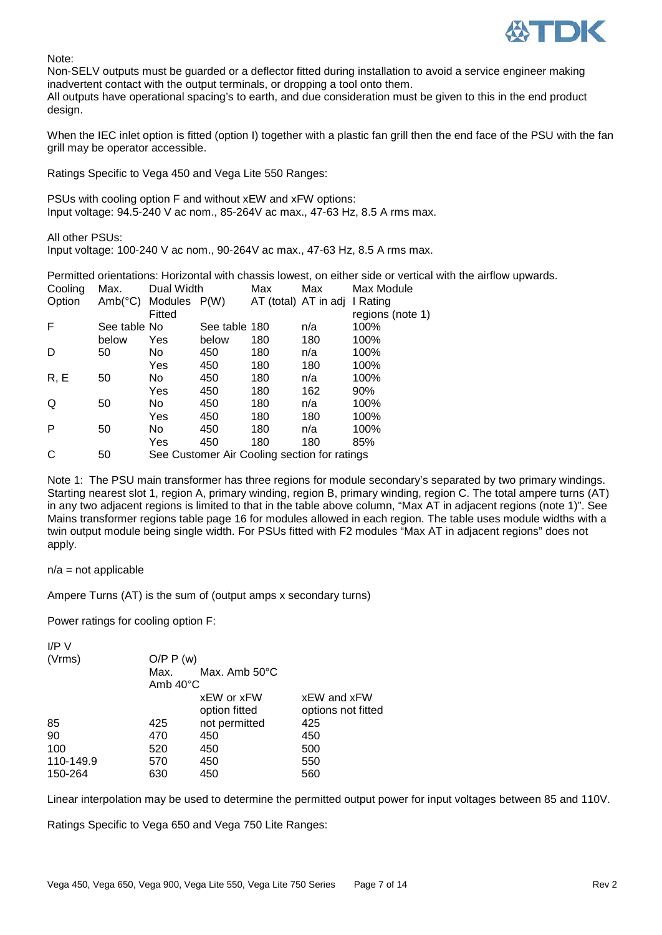

Note:

Non-SELV outputs must be guarded or a deflector fitted during installation to avoid a service engineer making inadvertent contact with the output terminals, or dropping a tool onto them.

All outputs have operational spacing's to earth, and due consideration must be given to this in the end product design.

When the IEC inlet option is fitted (option I) together with a plastic fan grill then the end face of the PSU with the fan grill may be operator accessible.

Ratings Specific to Vega 450 and Vega Lite 550 Ranges:

PSUs with cooling option F and without xEW and xFW options: Input voltage: 94.5-240 V ac nom., 85-264V ac max., 47-63 Hz, 8.5 A rms max.

All other PSUs: Input voltage: 100-240 V ac nom., 90-264V ac max., 47-63 Hz, 8.5 A rms max.

Permitted orientations: Horizontal with chassis lowest, on either side or vertical with the airflow upwards.

| Cooling | Max.             | Dual Width   |                                              | Max | Max                           | Max Module       |
|---------|------------------|--------------|----------------------------------------------|-----|-------------------------------|------------------|
| Option  | $Amb(^{\circ}C)$ | Modules P(W) |                                              |     | AT (total) AT in adj I Rating |                  |
|         |                  | Fitted       |                                              |     |                               | regions (note 1) |
| F       | See table No     |              | See table 180                                |     | n/a                           | 100%             |
|         | below            | Yes          | below                                        | 180 | 180                           | 100%             |
| D       | 50               | No.          | 450                                          | 180 | n/a                           | 100%             |
|         |                  | Yes          | 450                                          | 180 | 180                           | 100%             |
| R, E    | 50               | No.          | 450                                          | 180 | n/a                           | 100%             |
|         |                  | Yes          | 450                                          | 180 | 162                           | 90%              |
| Q       | 50               | No.          | 450                                          | 180 | n/a                           | 100%             |
|         |                  | Yes          | 450                                          | 180 | 180                           | 100%             |
| P       | 50               | No.          | 450                                          | 180 | n/a                           | 100%             |
|         |                  | Yes          | 450                                          | 180 | 180                           | 85%              |
| C       | 50               |              | See Customer Air Cooling section for ratings |     |                               |                  |

Note 1: The PSU main transformer has three regions for module secondary's separated by two primary windings. Starting nearest slot 1, region A, primary winding, region B, primary winding, region C. The total ampere turns (AT) in any two adjacent regions is limited to that in the table above column, "Max AT in adjacent regions (note 1)". See Mains transformer regions table page 16 for modules allowed in each region. The table uses module widths with a twin output module being single width. For PSUs fitted with F2 modules "Max AT in adjacent regions" does not apply.

 $n/a$  = not applicable

Ampere Turns (AT) is the sum of (output amps x secondary turns)

Power ratings for cooling option F:

| $I/P$ V   |                    |               |                    |
|-----------|--------------------|---------------|--------------------|
| (Vrms)    | O/P P(w)           |               |                    |
|           | Max.               | Max. Amb 50°C |                    |
|           | Amb $40^{\circ}$ C |               |                    |
|           |                    | xEW or xFW    | xEW and xFW        |
|           |                    | option fitted | options not fitted |
| 85        | 425                | not permitted | 425                |
| 90        | 470                | 450           | 450                |
| 100       | 520                | 450           | 500                |
| 110-149.9 | 570                | 450           | 550                |
| 150-264   | 630                | 450           | 560                |
|           |                    |               |                    |

Linear interpolation may be used to determine the permitted output power for input voltages between 85 and 110V.

Ratings Specific to Vega 650 and Vega 750 Lite Ranges: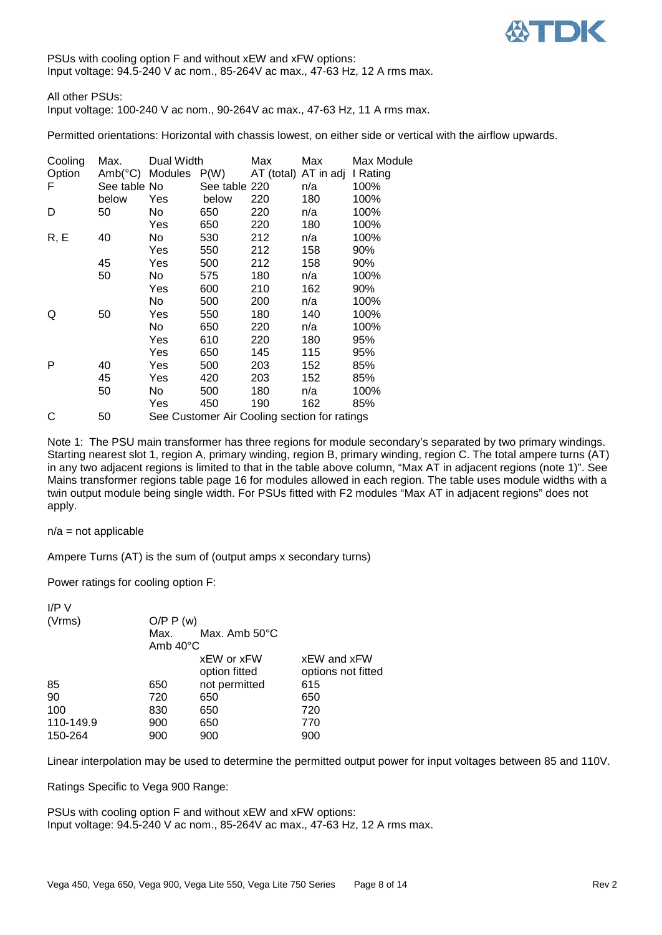

PSUs with cooling option F and without xEW and xFW options: Input voltage: 94.5-240 V ac nom., 85-264V ac max., 47-63 Hz, 12 A rms max.

All other PSUs: Input voltage: 100-240 V ac nom., 90-264V ac max., 47-63 Hz, 11 A rms max.

Permitted orientations: Horizontal with chassis lowest, on either side or vertical with the airflow upwards.

| Cooling | Max.             | Dual Width |                                                      | Max                  | Max | Max Module |
|---------|------------------|------------|------------------------------------------------------|----------------------|-----|------------|
| Option  | $Amb(^{\circ}C)$ | Modules    | P(W)                                                 | AT (total) AT in adj |     | I Rating   |
| F       | See table No     |            | See table 220                                        |                      | n/a | 100%       |
|         | below            | Yes        | below                                                | 220                  | 180 | 100%       |
| D       | 50               | No         | 650                                                  | 220                  | n/a | 100%       |
|         |                  | Yes        | 650                                                  | 220                  | 180 | 100%       |
| R, E    | 40               | No         | 530                                                  | 212                  | n/a | 100%       |
|         |                  | Yes        | 550                                                  | 212                  | 158 | 90%        |
|         | 45               | Yes        | 500                                                  | 212                  | 158 | 90%        |
|         | 50               | No         | 575                                                  | 180                  | n/a | 100%       |
|         |                  | Yes        | 600                                                  | 210                  | 162 | 90%        |
|         |                  | No.        | 500                                                  | 200                  | n/a | 100%       |
| Q       | 50               | Yes        | 550                                                  | 180                  | 140 | 100%       |
|         |                  | No         | 650                                                  | 220                  | n/a | 100%       |
|         |                  | Yes        | 610                                                  | 220                  | 180 | 95%        |
|         |                  | Yes        | 650                                                  | 145                  | 115 | 95%        |
| P       | 40               | Yes        | 500                                                  | 203                  | 152 | 85%        |
|         | 45               | Yes        | 420                                                  | 203                  | 152 | 85%        |
|         | 50               | No         | 500                                                  | 180                  | n/a | 100%       |
|         |                  | Yes        | 450                                                  | 190                  | 162 | 85%        |
| ⌒       | EΛ               |            | <u> Cao Customar Air Cooling sootian for rotings</u> |                      |     |            |

C 50 See Customer Air Cooling section for ratings

Note 1: The PSU main transformer has three regions for module secondary's separated by two primary windings. Starting nearest slot 1, region A, primary winding, region B, primary winding, region C. The total ampere turns (AT) in any two adjacent regions is limited to that in the table above column, "Max AT in adjacent regions (note 1)". See Mains transformer regions table page 16 for modules allowed in each region. The table uses module widths with a twin output module being single width. For PSUs fitted with F2 modules "Max AT in adjacent regions" does not apply.

#### $n/a$  = not applicable

Ampere Turns (AT) is the sum of (output amps x secondary turns)

Power ratings for cooling option F:

| I/PV      |                    |                         |                    |
|-----------|--------------------|-------------------------|--------------------|
| (Vrms)    | O/P P(w)           |                         |                    |
|           | Max.               | Max. Amb $50^{\circ}$ C |                    |
|           | Amb $40^{\circ}$ C |                         |                    |
|           |                    | xEW or xFW              | xEW and xFW        |
|           |                    | option fitted           | options not fitted |
| 85        | 650                | not permitted           | 615                |
| 90        | 720                | 650                     | 650                |
| 100       | 830                | 650                     | 720                |
| 110-149.9 | 900                | 650                     | 770                |
| 150-264   | 900                | 900                     | 900                |

Linear interpolation may be used to determine the permitted output power for input voltages between 85 and 110V.

Ratings Specific to Vega 900 Range:

PSUs with cooling option F and without xEW and xFW options: Input voltage: 94.5-240 V ac nom., 85-264V ac max., 47-63 Hz, 12 A rms max.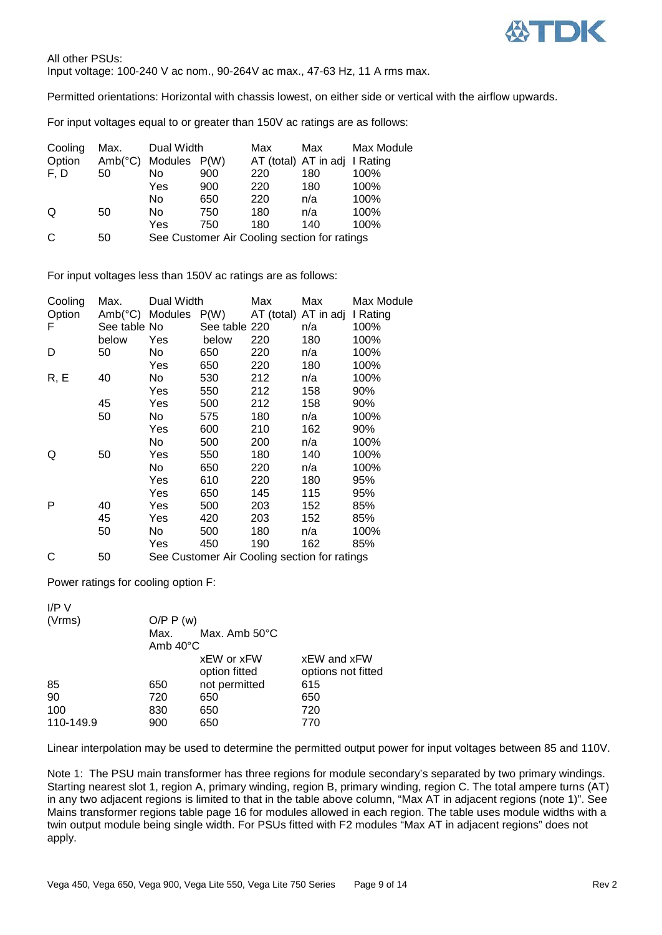

All other PSUs: Input voltage: 100-240 V ac nom., 90-264V ac max., 47-63 Hz, 11 A rms max.

Permitted orientations: Horizontal with chassis lowest, on either side or vertical with the airflow upwards.

For input voltages equal to or greater than 150V ac ratings are as follows:

| Cooling | Max.             | Dual Width   |     | Max                                          | Max                           | Max Module |
|---------|------------------|--------------|-----|----------------------------------------------|-------------------------------|------------|
| Option  | $Amb(^{\circ}C)$ | Modules P(W) |     |                                              | AT (total) AT in adj I Rating |            |
| F, D    | 50               | No           | 900 | 220                                          | 180                           | 100%       |
|         |                  | Yes          | 900 | 220                                          | 180                           | 100%       |
|         |                  | No           | 650 | 220                                          | n/a                           | 100%       |
| Q       | 50               | No           | 750 | 180                                          | n/a                           | 100%       |
|         |                  | Yes          | 750 | 180                                          | 140                           | 100%       |
| C       | 50               |              |     | See Customer Air Cooling section for ratings |                               |            |

For input voltages less than 150V ac ratings are as follows:

| Cooling | Max.            | Dual Width |                                              | Max                  | Max | Max Module |
|---------|-----------------|------------|----------------------------------------------|----------------------|-----|------------|
| Option  | Amb(°C) Modules |            | P(W)                                         | AT (total) AT in adj |     | I Rating   |
| F       | See table No    |            | See table 220                                |                      | n/a | 100%       |
|         | below           | Yes        | below                                        | 220                  | 180 | 100%       |
| D       | 50              | No         | 650                                          | 220                  | n/a | 100%       |
|         |                 | Yes        | 650                                          | 220                  | 180 | 100%       |
| R, E    | 40              | No         | 530                                          | 212                  | n/a | 100%       |
|         |                 | Yes        | 550                                          | 212                  | 158 | 90%        |
|         | 45              | Yes        | 500                                          | 212                  | 158 | 90%        |
|         | 50              | No         | 575                                          | 180                  | n/a | 100%       |
|         |                 | Yes        | 600                                          | 210                  | 162 | 90%        |
|         |                 | No         | 500                                          | 200                  | n/a | 100%       |
| Q       | 50              | Yes        | 550                                          | 180                  | 140 | 100%       |
|         |                 | No.        | 650                                          | 220                  | n/a | 100%       |
|         |                 | Yes        | 610                                          | 220                  | 180 | 95%        |
|         |                 | Yes        | 650                                          | 145                  | 115 | 95%        |
| P       | 40              | Yes        | 500                                          | 203                  | 152 | 85%        |
|         | 45              | Yes        | 420                                          | 203                  | 152 | 85%        |
|         | 50              | No         | 500                                          | 180                  | n/a | 100%       |
|         |                 | Yes        | 450                                          | 190                  | 162 | 85%        |
| С       | 50              |            | See Customer Air Cooling section for ratings |                      |     |            |

Power ratings for cooling option F:

| I/P V     |                    |                         |                    |
|-----------|--------------------|-------------------------|--------------------|
| (Vrms)    | O/P P(w)           |                         |                    |
|           | Max.               | Max. Amb $50^{\circ}$ C |                    |
|           | Amb $40^{\circ}$ C |                         |                    |
|           |                    | xEW or xFW              | xEW and xFW        |
|           |                    | option fitted           | options not fitted |
| 85        | 650                | not permitted           | 615                |
| 90        | 720                | 650                     | 650                |
| 100       | 830                | 650                     | 720                |
| 110-149.9 | 900                | 650                     | 770                |

Linear interpolation may be used to determine the permitted output power for input voltages between 85 and 110V.

Note 1: The PSU main transformer has three regions for module secondary's separated by two primary windings. Starting nearest slot 1, region A, primary winding, region B, primary winding, region C. The total ampere turns (AT) in any two adjacent regions is limited to that in the table above column, "Max AT in adjacent regions (note 1)". See Mains transformer regions table page 16 for modules allowed in each region. The table uses module widths with a twin output module being single width. For PSUs fitted with F2 modules "Max AT in adjacent regions" does not apply.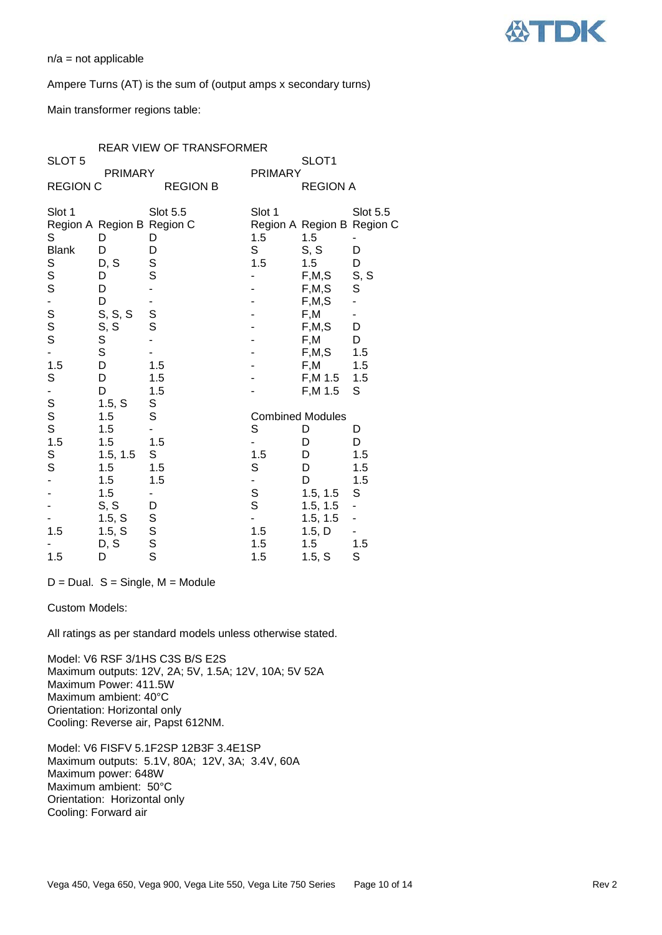

 $n/a$  = not applicable

#### Ampere Turns (AT) is the sum of (output amps x secondary turns)

Main transformer regions table:

| SLOT 5          |                                 |                          |                | SLOT <sub>1</sub>                 |                 |
|-----------------|---------------------------------|--------------------------|----------------|-----------------------------------|-----------------|
| <b>REGION C</b> | <b>PRIMARY</b>                  | <b>REGION B</b>          | <b>PRIMARY</b> | <b>REGION A</b>                   |                 |
|                 |                                 |                          |                |                                   |                 |
| Slot 1          |                                 | <b>Slot 5.5</b>          | Slot 1         |                                   | <b>Slot 5.5</b> |
| S               | Region A Region B Region C<br>D | D                        | 1.5            | Region A Region B Region C<br>1.5 |                 |
| <b>Blank</b>    | D                               | D                        | S              | S, S                              | D               |
|                 | D, S                            |                          | 1.5            | 1.5                               | D               |
| S<br>S<br>S     | D                               | S<br>S                   |                | F, M, S                           | S, S            |
|                 | D                               |                          |                | F, M, S                           | $\mathbb S$     |
| -               | D                               |                          |                | F, M, S                           |                 |
|                 | S, S, S                         |                          |                | F,M                               |                 |
| S<br>S<br>S     |                                 | S<br>S                   |                | F, M, S                           | D               |
|                 | $S, S$<br>$S$                   |                          |                | F,M                               | D               |
|                 |                                 |                          |                | F, M, S                           | 1.5             |
| 1.5             | D                               | 1.5                      |                | F,M                               | 1.5             |
| $\mathbb S$     | D                               | 1.5                      |                | F, M 1.5                          | 1.5             |
|                 | D                               | 1.5                      |                | F, M 1.5                          | S               |
| S<br>S<br>S     | 1.5, S                          | S                        |                |                                   |                 |
|                 | 1.5                             | S                        |                | <b>Combined Modules</b>           |                 |
|                 | 1.5                             |                          | S              | D                                 | D               |
| 1.5             | 1.5                             | 1.5                      |                | D                                 | D               |
| $\mathbb S$     | 1.5, 1.5                        | S                        | 1.5            | D                                 | 1.5             |
| S               | 1.5                             | 1.5                      | S              | D                                 | 1.5             |
|                 | 1.5                             | 1.5                      |                | D                                 | 1.5             |
|                 | 1.5                             | $\overline{\phantom{0}}$ | S<br>S         | 1.5, 1.5                          | S               |
|                 | S, S                            | D                        |                | 1.5, 1.5                          |                 |
|                 | 1.5, S                          |                          |                | 1.5, 1.5                          |                 |
| 1.5             | 1.5, S                          |                          | 1.5            | 1.5, D                            |                 |
|                 | D, S                            | S<br>S<br>S<br>S         | 1.5            | 1.5                               | 1.5             |
| 1.5             | D                               |                          | 1.5            | 1.5, S                            | S               |

 $D = Dual$ . S = Single, M = Module

#### Custom Models:

All ratings as per standard models unless otherwise stated.

Model: V6 RSF 3/1HS C3S B/S E2S Maximum outputs: 12V, 2A; 5V, 1.5A; 12V, 10A; 5V 52A Maximum Power: 411.5W Maximum ambient: 40°C Orientation: Horizontal only Cooling: Reverse air, Papst 612NM.

Model: V6 FISFV 5.1F2SP 12B3F 3.4E1SP Maximum outputs: 5.1V, 80A; 12V, 3A; 3.4V, 60A Maximum power: 648W Maximum ambient: 50°C Orientation: Horizontal only Cooling: Forward air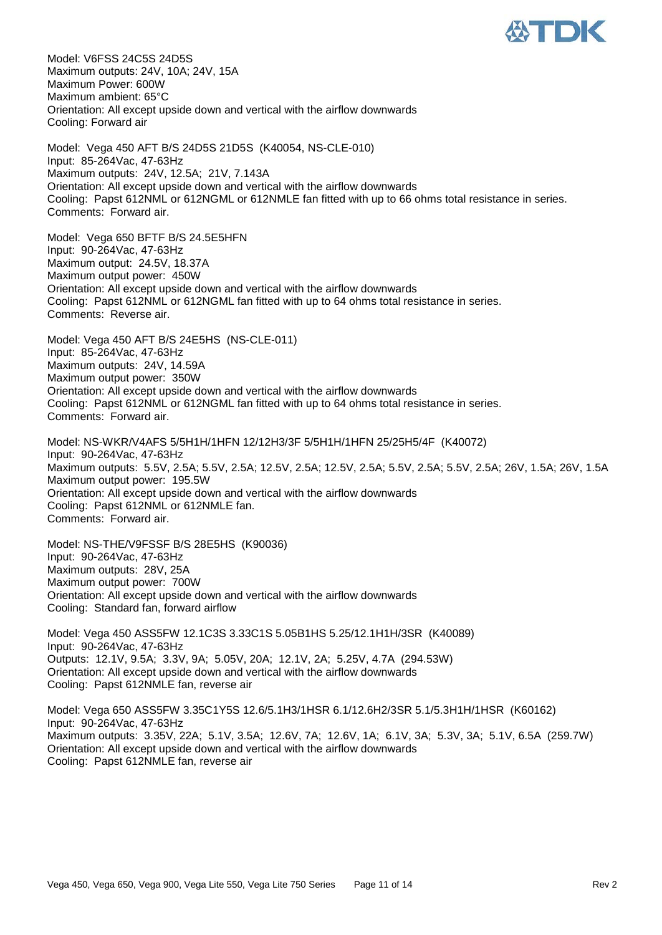

Model: V6FSS 24C5S 24D5S Maximum outputs: 24V, 10A; 24V, 15A Maximum Power: 600W Maximum ambient: 65°C Orientation: All except upside down and vertical with the airflow downwards Cooling: Forward air Model: Vega 450 AFT B/S 24D5S 21D5S (K40054, NS-CLE-010) Input: 85-264Vac, 47-63Hz Maximum outputs: 24V, 12.5A; 21V, 7.143A Orientation: All except upside down and vertical with the airflow downwards Cooling: Papst 612NML or 612NGML or 612NMLE fan fitted with up to 66 ohms total resistance in series. Comments: Forward air. Model: Vega 650 BFTF B/S 24.5E5HFN Input: 90-264Vac, 47-63Hz Maximum output: 24.5V, 18.37A Maximum output power: 450W Orientation: All except upside down and vertical with the airflow downwards Cooling: Papst 612NML or 612NGML fan fitted with up to 64 ohms total resistance in series. Comments: Reverse air. Model: Vega 450 AFT B/S 24E5HS (NS-CLE-011) Input: 85-264Vac, 47-63Hz Maximum outputs: 24V, 14.59A Maximum output power: 350W Orientation: All except upside down and vertical with the airflow downwards Cooling: Papst 612NML or 612NGML fan fitted with up to 64 ohms total resistance in series. Comments: Forward air. Model: NS-WKR/V4AFS 5/5H1H/1HFN 12/12H3/3F 5/5H1H/1HFN 25/25H5/4F (K40072) Input: 90-264Vac, 47-63Hz Maximum outputs: 5.5V, 2.5A; 5.5V, 2.5A; 12.5V, 2.5A; 12.5V, 2.5A; 5.5V, 2.5A; 5.5V, 2.5A; 26V, 1.5A; 26V, 1.5A Maximum output power: 195.5W Orientation: All except upside down and vertical with the airflow downwards Cooling: Papst 612NML or 612NMLE fan. Comments: Forward air. Model: NS-THE/V9FSSF B/S 28E5HS (K90036) Input: 90-264Vac, 47-63Hz Maximum outputs: 28V, 25A Maximum output power: 700W Orientation: All except upside down and vertical with the airflow downwards Cooling: Standard fan, forward airflow Model: Vega 450 ASS5FW 12.1C3S 3.33C1S 5.05B1HS 5.25/12.1H1H/3SR (K40089)

Input: 90-264Vac, 47-63Hz Outputs: 12.1V, 9.5A; 3.3V, 9A; 5.05V, 20A; 12.1V, 2A; 5.25V, 4.7A (294.53W) Orientation: All except upside down and vertical with the airflow downwards Cooling: Papst 612NMLE fan, reverse air

Model: Vega 650 ASS5FW 3.35C1Y5S 12.6/5.1H3/1HSR 6.1/12.6H2/3SR 5.1/5.3H1H/1HSR (K60162) Input: 90-264Vac, 47-63Hz Maximum outputs: 3.35V, 22A; 5.1V, 3.5A; 12.6V, 7A; 12.6V, 1A; 6.1V, 3A; 5.3V, 3A; 5.1V, 6.5A (259.7W) Orientation: All except upside down and vertical with the airflow downwards Cooling: Papst 612NMLE fan, reverse air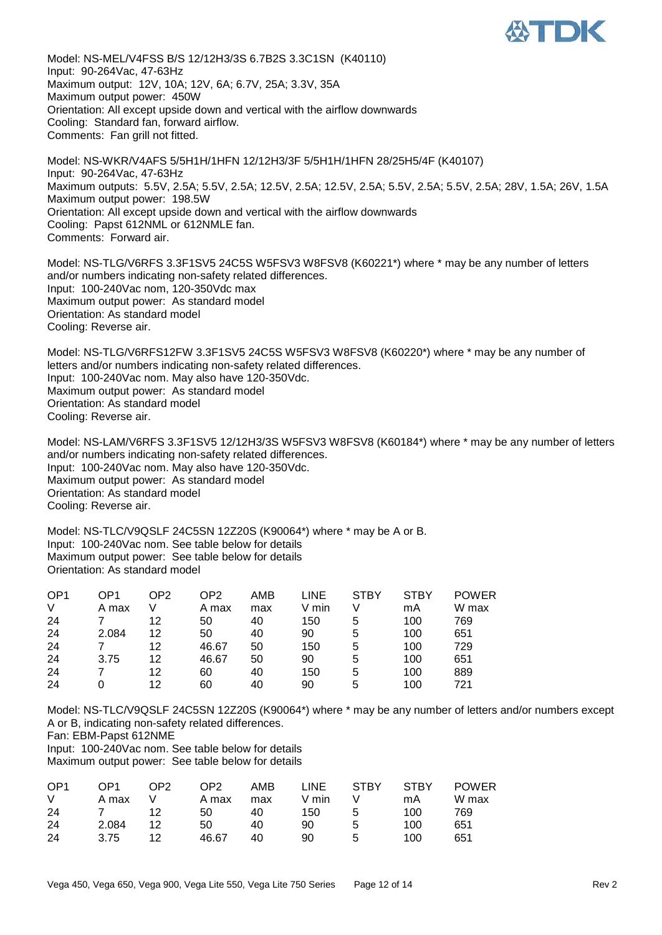

Model: NS-MEL/V4FSS B/S 12/12H3/3S 6.7B2S 3.3C1SN (K40110) Input: 90-264Vac, 47-63Hz Maximum output: 12V, 10A; 12V, 6A; 6.7V, 25A; 3.3V, 35A Maximum output power: 450W Orientation: All except upside down and vertical with the airflow downwards Cooling: Standard fan, forward airflow. Comments: Fan grill not fitted.

Model: NS-WKR/V4AFS 5/5H1H/1HFN 12/12H3/3F 5/5H1H/1HFN 28/25H5/4F (K40107) Input: 90-264Vac, 47-63Hz Maximum outputs: 5.5V, 2.5A; 5.5V, 2.5A; 12.5V, 2.5A; 12.5V, 2.5A; 5.5V, 2.5A; 5.5V, 2.5A; 28V, 1.5A; 26V, 1.5A Maximum output power: 198.5W Orientation: All except upside down and vertical with the airflow downwards Cooling: Papst 612NML or 612NMLE fan. Comments: Forward air.

Model: NS-TLG/V6RFS 3.3F1SV5 24C5S W5FSV3 W8FSV8 (K60221\*) where \* may be any number of letters and/or numbers indicating non-safety related differences. Input: 100-240Vac nom, 120-350Vdc max Maximum output power: As standard model Orientation: As standard model Cooling: Reverse air.

Model: NS-TLG/V6RFS12FW 3.3F1SV5 24C5S W5FSV3 W8FSV8 (K60220\*) where \* may be any number of letters and/or numbers indicating non-safety related differences. Input: 100-240Vac nom. May also have 120-350Vdc. Maximum output power: As standard model Orientation: As standard model Cooling: Reverse air.

Model: NS-LAM/V6RFS 3.3F1SV5 12/12H3/3S W5FSV3 W8FSV8 (K60184\*) where \* may be any number of letters and/or numbers indicating non-safety related differences. Input: 100-240Vac nom. May also have 120-350Vdc. Maximum output power: As standard model Orientation: As standard model Cooling: Reverse air.

Model: NS-TLC/V9QSLF 24C5SN 12Z20S (K90064\*) where \* may be A or B. Input: 100-240Vac nom. See table below for details Maximum output power: See table below for details Orientation: As standard model

| OP <sub>1</sub> | OP1   | OP2 | OP2   | AMB | LINE  | <b>STBY</b> | <b>STBY</b> | <b>POWER</b> |
|-----------------|-------|-----|-------|-----|-------|-------------|-------------|--------------|
| V               | A max |     | A max | max | V min |             | mA          | W max        |
| 24              |       | 12  | 50    | 40  | 150   | 5           | 100         | 769          |
| 24              | 2.084 | 12  | 50    | 40  | 90    | 5           | 100         | 651          |
| 24              |       | 12  | 46.67 | 50  | 150   | 5           | 100         | 729          |
| 24              | 3.75  | 12  | 46.67 | 50  | 90    | 5           | 100         | 651          |
| 24              |       | 12  | 60    | 40  | 150   | 5           | 100         | 889          |
| 24              |       | 12  | 60    | 40  | 90    | 5           | 100         | 721          |

Model: NS-TLC/V9QSLF 24C5SN 12Z20S (K90064\*) where \* may be any number of letters and/or numbers except A or B, indicating non-safety related differences.

Fan: EBM-Papst 612NME

Input: 100-240Vac nom. See table below for details Maximum output power: See table below for details

| OP <sub>1</sub> | OP1   | OP <sub>2</sub> | OP <sub>2</sub> | AMB | <b>LINE</b> | <b>STBY</b> | <b>STBY</b> | <b>POWER</b> |
|-----------------|-------|-----------------|-----------------|-----|-------------|-------------|-------------|--------------|
| V               | A max |                 | A max           | max | V min       |             | mA          | W max        |
| -24             |       | 12              | 50              | 40  | 150         | 5           | 100         | 769          |
| -24             | 2.084 | 12              | 50              | 40  | 90          | 5           | 100         | 651          |
| 24              | 3.75  | ィク              | 46.67           | 40  | 90          | 5           | 100         | 651          |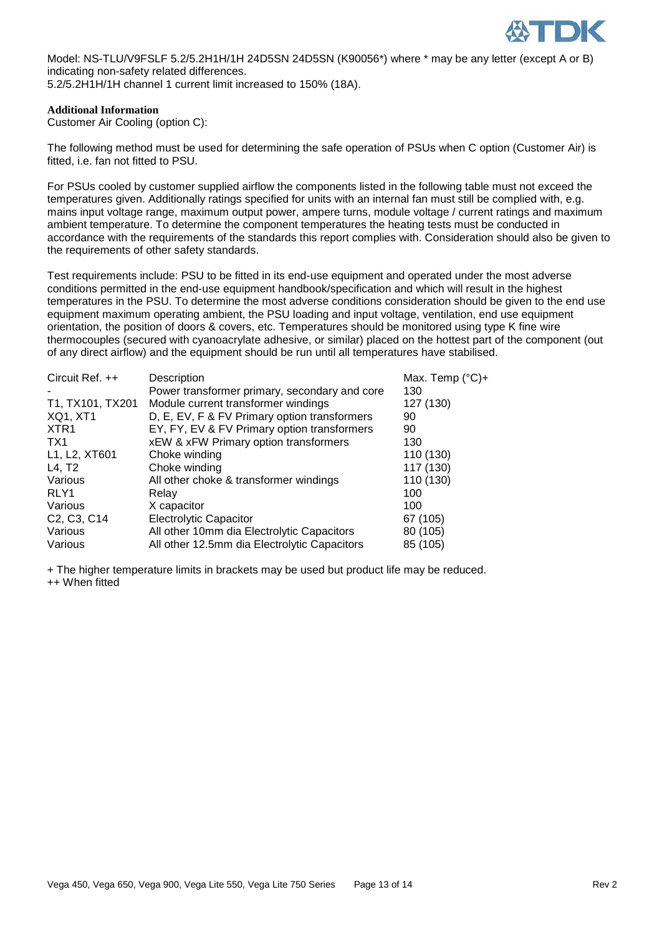

Model: NS-TLU/V9FSLF 5.2/5.2H1H/1H 24D5SN 24D5SN (K90056\*) where \* may be any letter (except A or B) indicating non-safety related differences.

5.2/5.2H1H/1H channel 1 current limit increased to 150% (18A).

#### **Additional Information**

Customer Air Cooling (option C):

The following method must be used for determining the safe operation of PSUs when C option (Customer Air) is fitted, i.e. fan not fitted to PSU.

For PSUs cooled by customer supplied airflow the components listed in the following table must not exceed the temperatures given. Additionally ratings specified for units with an internal fan must still be complied with, e.g. mains input voltage range, maximum output power, ampere turns, module voltage / current ratings and maximum ambient temperature. To determine the component temperatures the heating tests must be conducted in accordance with the requirements of the standards this report complies with. Consideration should also be given to the requirements of other safety standards.

Test requirements include: PSU to be fitted in its end-use equipment and operated under the most adverse conditions permitted in the end-use equipment handbook/specification and which will result in the highest temperatures in the PSU. To determine the most adverse conditions consideration should be given to the end use equipment maximum operating ambient, the PSU loading and input voltage, ventilation, end use equipment orientation, the position of doors & covers, etc. Temperatures should be monitored using type K fine wire thermocouples (secured with cyanoacrylate adhesive, or similar) placed on the hottest part of the component (out of any direct airflow) and the equipment should be run until all temperatures have stabilised.

| Circuit Ref. ++                                   | Description                                   | Max. Temp $(^{\circ}C)+$ |
|---------------------------------------------------|-----------------------------------------------|--------------------------|
|                                                   | Power transformer primary, secondary and core | 130                      |
| T1, TX101, TX201                                  | Module current transformer windings           | 127 (130)                |
| <b>XQ1, XT1</b>                                   | D, E, EV, F & FV Primary option transformers  | 90                       |
| XTR <sub>1</sub>                                  | EY, FY, EV & FV Primary option transformers   | 90                       |
| TX1                                               | xEW & xFW Primary option transformers         | 130                      |
| L1, L2, XT601                                     | Choke winding                                 | 110 (130)                |
| L4, T2                                            | Choke winding                                 | 117 (130)                |
| Various                                           | All other choke & transformer windings        | 110 (130)                |
| RLY1                                              | Relay                                         | 100                      |
| Various                                           | X capacitor                                   | 100                      |
| C <sub>2</sub> , C <sub>3</sub> , C <sub>14</sub> | <b>Electrolytic Capacitor</b>                 | 67 (105)                 |
| Various                                           | All other 10mm dia Electrolytic Capacitors    | 80 (105)                 |
| Various                                           | All other 12.5mm dia Electrolytic Capacitors  | 85 (105)                 |
|                                                   |                                               |                          |

+ The higher temperature limits in brackets may be used but product life may be reduced. ++ When fitted